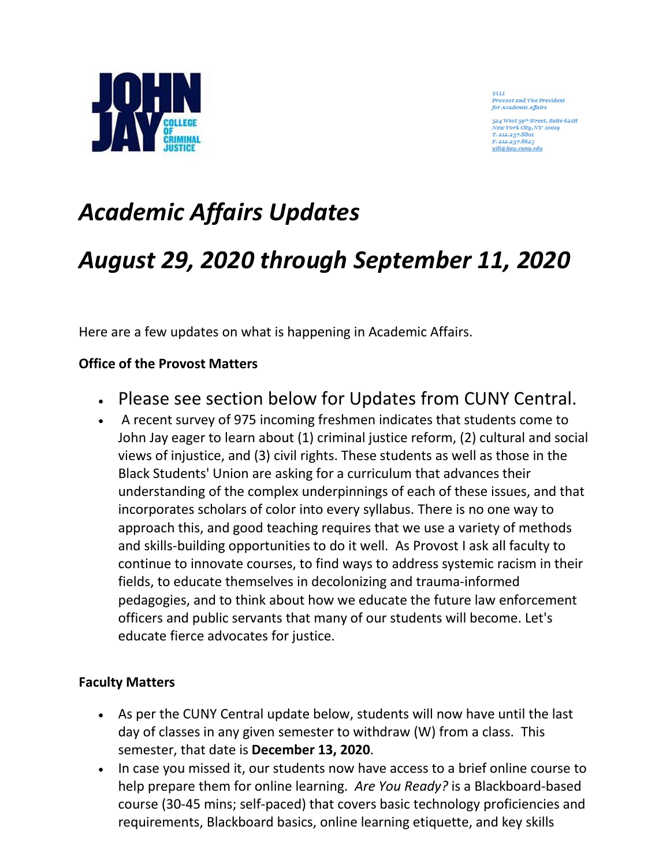

YiLi Provost and Vice President for Academic Affair

524 West 59th Street, Suite 621H New York City, NY 10019 T. 212.237.8801 F. 212.237.8623 vili@jiay.cumy.edu

# *Academic Affairs Updates*

## *August 29, 2020 through September 11, 2020*

Here are a few updates on what is happening in Academic Affairs.

### **Office of the Provost Matters**

- Please see section below for Updates from CUNY Central.
- A recent survey of 975 incoming freshmen indicates that students come to John Jay eager to learn about (1) criminal justice reform, (2) cultural and social views of injustice, and (3) civil rights. These students as well as those in the Black Students' Union are asking for a curriculum that advances their understanding of the complex underpinnings of each of these issues, and that incorporates scholars of color into every syllabus. There is no one way to approach this, and good teaching requires that we use a variety of methods and skills-building opportunities to do it well. As Provost I ask all faculty to continue to innovate courses, to find ways to address systemic racism in their fields, to educate themselves in decolonizing and trauma-informed pedagogies, and to think about how we educate the future law enforcement officers and public servants that many of our students will become. Let's educate fierce advocates for justice.

### **Faculty Matters**

- As per the CUNY Central update below, students will now have until the last day of classes in any given semester to withdraw (W) from a class. This semester, that date is **December 13, 2020**.
- In case you missed it, our students now have access to a brief online course to help prepare them for online learning. *Are You Ready?* is a Blackboard-based course (30-45 mins; self-paced) that covers basic technology proficiencies and requirements, Blackboard basics, online learning etiquette, and key skills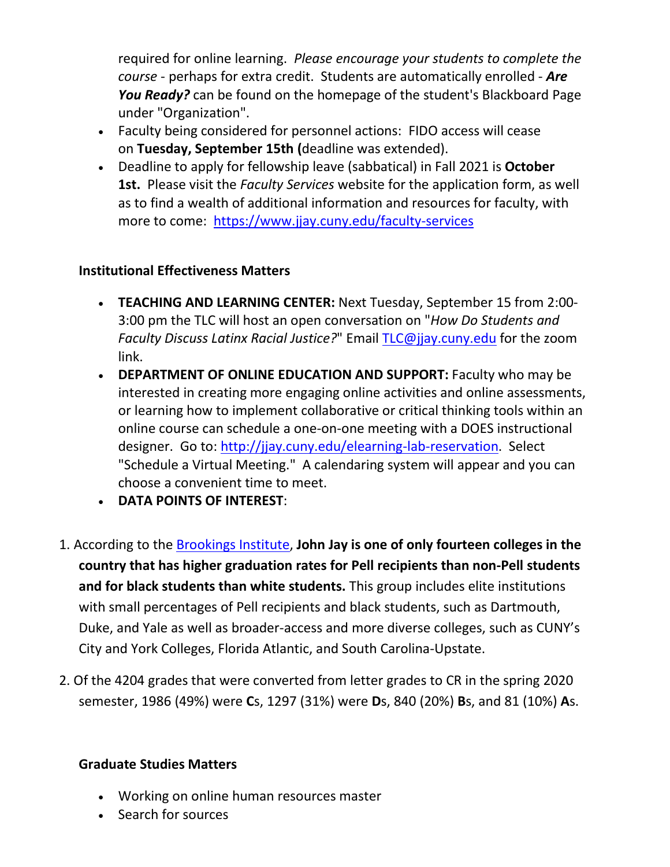required for online learning. *Please encourage your students to complete the course* - perhaps for extra credit. Students are automatically enrolled - *Are You Ready?* can be found on the homepage of the student's Blackboard Page under "Organization".

- Faculty being considered for personnel actions: FIDO access will cease on **Tuesday, September 15th (**deadline was extended).
- Deadline to apply for fellowship leave (sabbatical) in Fall 2021 is **October 1st.** Please visit the *Faculty Services* website for the application form, as well as to find a wealth of additional information and resources for faculty, with more to come: <https://www.jjay.cuny.edu/faculty-services>

### **Institutional Effectiveness Matters**

- **TEACHING AND LEARNING CENTER:** Next Tuesday, September 15 from 2:00- 3:00 pm the TLC will host an open conversation on "*How Do Students and Faculty Discuss Latinx Racial Justice?*" Email [TLC@jjay.cuny.edu](mailto:TLC@jjay.cuny.edu) for the zoom link.
- **DEPARTMENT OF ONLINE EDUCATION AND SUPPORT:** Faculty who may be interested in creating more engaging online activities and online assessments, or learning how to implement collaborative or critical thinking tools within an online course can schedule a one-on-one meeting with a DOES instructional designer. Go to: [http://jjay.cuny.edu/elearning-lab-reservation.](http://jjay.cuny.edu/elearning-lab-reservation) Select "Schedule a Virtual Meeting." A calendaring system will appear and you can choose a convenient time to meet.
- **DATA POINTS OF INTEREST**:
- 1. According to the [Brookings Institute,](https://www.brookings.edu/blog/brown-center-chalkboard/2017/10/25/a-look-at-pell-grant-recipients-graduation-rates/) **John Jay is one of only fourteen colleges in the country that has higher graduation rates for Pell recipients than non-Pell students and for black students than white students.** This group includes elite institutions with small percentages of Pell recipients and black students, such as Dartmouth, Duke, and Yale as well as broader-access and more diverse colleges, such as CUNY's City and York Colleges, Florida Atlantic, and South Carolina-Upstate.
- 2. Of the 4204 grades that were converted from letter grades to CR in the spring 2020 semester, 1986 (49%) were **C**s, 1297 (31%) were **D**s, 840 (20%) **B**s, and 81 (10%) **A**s.

#### **Graduate Studies Matters**

- Working on online human resources master
- Search for sources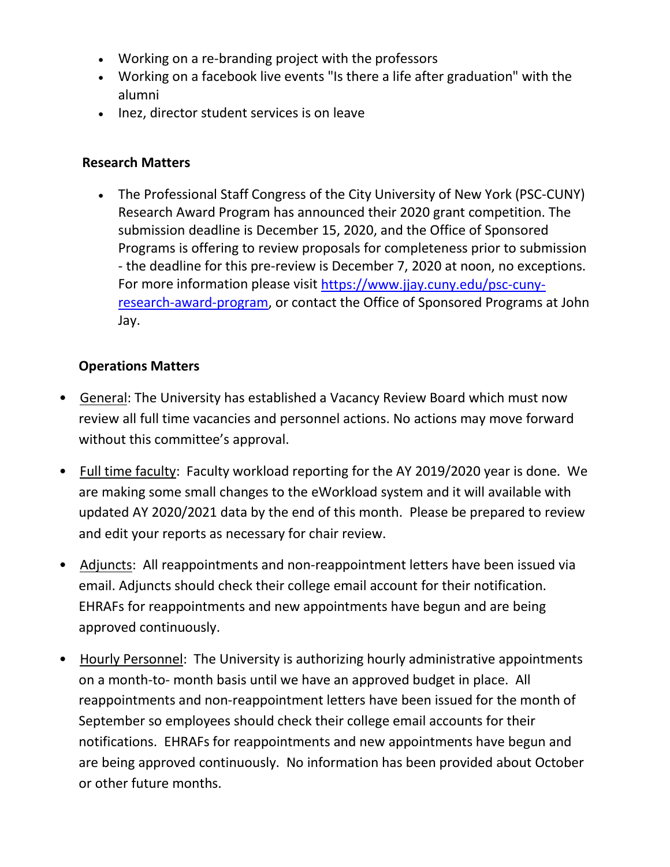- Working on a re-branding project with the professors
- Working on a facebook live events "Is there a life after graduation" with the alumni
- Inez, director student services is on leave

### **Research Matters**

• The Professional Staff Congress of the City University of New York (PSC-CUNY) Research Award Program has announced their 2020 grant competition. The submission deadline is December 15, 2020, and the Office of Sponsored Programs is offering to review proposals for completeness prior to submission - the deadline for this pre-review is December 7, 2020 at noon, no exceptions. For more information please visit [https://www.jjay.cuny.edu/psc-cuny](https://www.jjay.cuny.edu/psc-cuny-research-award-program)[research-award-program,](https://www.jjay.cuny.edu/psc-cuny-research-award-program) or contact the Office of Sponsored Programs at John Jay.

### **Operations Matters**

- General: The University has established a Vacancy Review Board which must now review all full time vacancies and personnel actions. No actions may move forward without this committee's approval.
- Full time faculty: Faculty workload reporting for the AY 2019/2020 year is done. We are making some small changes to the eWorkload system and it will available with updated AY 2020/2021 data by the end of this month. Please be prepared to review and edit your reports as necessary for chair review.
- Adjuncts: All reappointments and non-reappointment letters have been issued via email. Adjuncts should check their college email account for their notification. EHRAFs for reappointments and new appointments have begun and are being approved continuously.
- Hourly Personnel: The University is authorizing hourly administrative appointments on a month-to- month basis until we have an approved budget in place. All reappointments and non-reappointment letters have been issued for the month of September so employees should check their college email accounts for their notifications. EHRAFs for reappointments and new appointments have begun and are being approved continuously. No information has been provided about October or other future months.